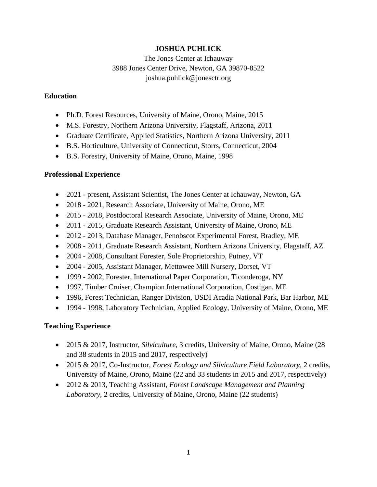## **JOSHUA PUHLICK**

The Jones Center at Ichauway 3988 Jones Center Drive, Newton, GA 39870-8522 joshua.puhlick@jonesctr.org

## **Education**

- Ph.D. Forest Resources, University of Maine, Orono, Maine, 2015
- M.S. Forestry, Northern Arizona University, Flagstaff, Arizona, 2011
- Graduate Certificate, Applied Statistics, Northern Arizona University, 2011
- B.S. Horticulture, University of Connecticut, Storrs, Connecticut, 2004
- B.S. Forestry, University of Maine, Orono, Maine, 1998

# **Professional Experience**

- 2021 present, Assistant Scientist, The Jones Center at Ichauway, Newton, GA
- 2018 2021, Research Associate, University of Maine, Orono, ME
- 2015 2018, Postdoctoral Research Associate, University of Maine, Orono, ME
- 2011 2015, Graduate Research Assistant, University of Maine, Orono, ME
- 2012 2013, Database Manager, Penobscot Experimental Forest, Bradley, ME
- 2008 2011, Graduate Research Assistant, Northern Arizona University, Flagstaff, AZ
- 2004 2008, Consultant Forester, Sole Proprietorship, Putney, VT
- 2004 2005, Assistant Manager, Mettowee Mill Nursery, Dorset, VT
- 1999 2002, Forester, International Paper Corporation, Ticonderoga, NY
- 1997, Timber Cruiser, Champion International Corporation, Costigan, ME
- 1996, Forest Technician, Ranger Division, USDI Acadia National Park, Bar Harbor, ME
- 1994 1998, Laboratory Technician, Applied Ecology, University of Maine, Orono, ME

## **Teaching Experience**

- 2015 & 2017, Instructor, *Silviculture*, 3 credits, University of Maine, Orono, Maine (28 and 38 students in 2015 and 2017, respectively)
- 2015 & 2017, Co-Instructor, *Forest Ecology and Silviculture Field Laboratory*, 2 credits, University of Maine, Orono, Maine (22 and 33 students in 2015 and 2017, respectively)
- 2012 & 2013, Teaching Assistant, *Forest Landscape Management and Planning Laboratory*, 2 credits, University of Maine, Orono, Maine (22 students)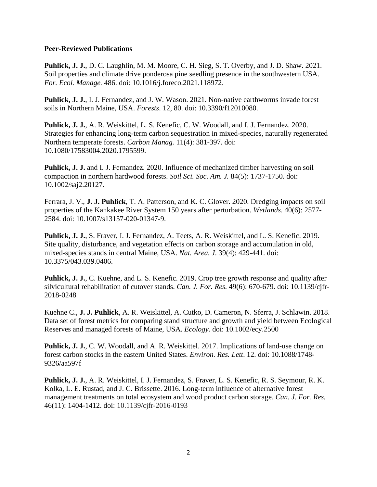#### **Peer-Reviewed Publications**

**Puhlick, J. J.**, D. C. Laughlin, M. M. Moore, C. H. Sieg, S. T. Overby, and J. D. Shaw. 2021. Soil properties and climate drive ponderosa pine seedling presence in the southwestern USA. *For. Ecol. Manage.* 486. doi: 10.1016/j.foreco.2021.118972.

**Puhlick, J. J.**, I. J. Fernandez, and J. W. Wason. 2021. Non-native earthworms invade forest soils in Northern Maine, USA. *Forests*. 12, 80. doi: 10.3390/f12010080.

**Puhlick, J. J.**, A. R. Weiskittel, L. S. Kenefic, C. W. Woodall, and I. J. Fernandez. 2020. Strategies for enhancing long-term carbon sequestration in mixed-species, naturally regenerated Northern temperate forests. *Carbon Manag.* 11(4): 381-397. doi: 10.1080/17583004.2020.1795599.

**Puhlick, J. J.** and I. J. Fernandez. 2020. Influence of mechanized timber harvesting on soil compaction in northern hardwood forests. *Soil Sci. Soc. Am. J.* 84(5): 1737-1750. doi: 10.1002/saj2.20127.

Ferrara, J. V., **J. J. Puhlick**, T. A. Patterson, and K. C. Glover. 2020. Dredging impacts on soil properties of the Kankakee River System 150 years after perturbation. *Wetlands*. 40(6): 2577- 2584. doi: 10.1007/s13157-020-01347-9.

**Puhlick, J. J.**, S. Fraver, I. J. Fernandez, A. Teets, A. R. Weiskittel, and L. S. Kenefic. 2019. Site quality, disturbance, and vegetation effects on carbon storage and accumulation in old, mixed-species stands in central Maine, USA. *Nat. Area. J*. 39(4): 429-441. doi: 10.3375/043.039.0406.

**Puhlick, J. J.**, C. Kuehne, and L. S. Kenefic. 2019. Crop tree growth response and quality after silvicultural rehabilitation of cutover stands. *Can. J. For. Res.* 49(6): 670-679. doi: 10.1139/cjfr-2018-0248

Kuehne C., **J. J. Puhlick**, A. R. Weiskittel, A. Cutko, D. Cameron, N. Sferra, J. Schlawin. 2018. Data set of forest metrics for comparing stand structure and growth and yield between Ecological Reserves and managed forests of Maine, USA. *Ecology.* doi: 10.1002/ecy.2500

**Puhlick, J. J.**, C. W. Woodall, and A. R. Weiskittel. 2017. Implications of land-use change on forest carbon stocks in the eastern United States. *Environ. Res. Lett*. 12. doi: 10.1088/1748- 9326/aa597f

**Puhlick, J. J.**, A. R. Weiskittel, I. J. Fernandez, S. Fraver, L. S. Kenefic, R. S. Seymour, R. K. Kolka, L. E. Rustad, and J. C. Brissette. 2016. Long-term influence of alternative forest management treatments on total ecosystem and wood product carbon storage. *Can. J. For. Res.* 46(11): 1404-1412. doi: 10.1139/cjfr-2016-0193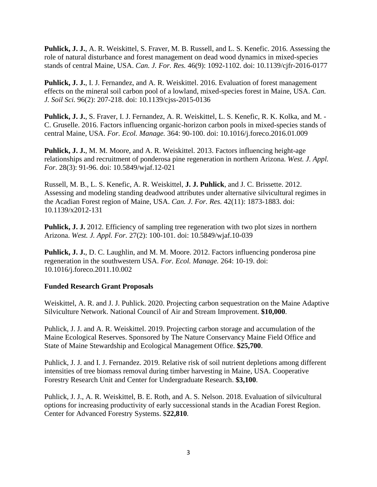**Puhlick, J. J.**, A. R. Weiskittel, S. Fraver, M. B. Russell, and L. S. Kenefic. 2016. Assessing the role of natural disturbance and forest management on dead wood dynamics in mixed-species stands of central Maine, USA. *Can. J. For. Res.* 46(9): 1092-1102. doi: 10.1139/cjfr-2016-0177

**Puhlick, J. J.,** I. J. Fernandez, and A. R. Weiskittel. 2016. Evaluation of forest management effects on the mineral soil carbon pool of a lowland, mixed-species forest in Maine, USA. *Can. J. Soil Sci.* 96(2): 207-218. doi: 10.1139/cjss-2015-0136

**Puhlick, J. J.**, S. Fraver, I. J. Fernandez, A. R. Weiskittel, L. S. Kenefic, R. K. Kolka, and M. - C. Gruselle. 2016. Factors influencing organic-horizon carbon pools in mixed-species stands of central Maine, USA. *For. Ecol. Manage.* 364: 90-100. doi: 10.1016/j.foreco.2016.01.009

**Puhlick, J. J.**, M. M. Moore, and A. R. Weiskittel. 2013. Factors influencing height-age relationships and recruitment of ponderosa pine regeneration in northern Arizona. *West. J. Appl. For.* 28(3): 91-96. doi: 10.5849/wjaf.12-021

Russell, M. B., L. S. Kenefic, A. R. Weiskittel, **J. J. Puhlick**, and J. C. Brissette. 2012. Assessing and modeling standing deadwood attributes under alternative silvicultural regimes in the Acadian Forest region of Maine, USA. *Can. J. For. Res.* 42(11): 1873-1883. doi: 10.1139/x2012-131

**Puhlick, J. J.** 2012. Efficiency of sampling tree regeneration with two plot sizes in northern Arizona. *West. J. Appl. For.* 27(2): 100-101. doi: 10.5849/wjaf.10-039

**Puhlick, J. J.**, D. C. Laughlin, and M. M. Moore. 2012. Factors influencing ponderosa pine regeneration in the southwestern USA. *For. Ecol. Manage.* 264: 10-19. doi: 10.1016/j.foreco.2011.10.002

#### **Funded Research Grant Proposals**

Weiskittel, A. R. and J. J. Puhlick. 2020. Projecting carbon sequestration on the Maine Adaptive Silviculture Network. National Council of Air and Stream Improvement. **\$10,000**.

Puhlick, J. J. and A. R. Weiskittel. 2019. Projecting carbon storage and accumulation of the Maine Ecological Reserves. Sponsored by The Nature Conservancy Maine Field Office and State of Maine Stewardship and Ecological Management Office. **\$25,700**.

Puhlick, J. J. and I. J. Fernandez. 2019. Relative risk of soil nutrient depletions among different intensities of tree biomass removal during timber harvesting in Maine, USA. Cooperative Forestry Research Unit and Center for Undergraduate Research. **\$3,100**.

Puhlick, J. J., A. R. Weiskittel, B. E. Roth, and A. S. Nelson. 2018. Evaluation of silvicultural options for increasing productivity of early successional stands in the Acadian Forest Region. Center for Advanced Forestry Systems. \$**22,810***.*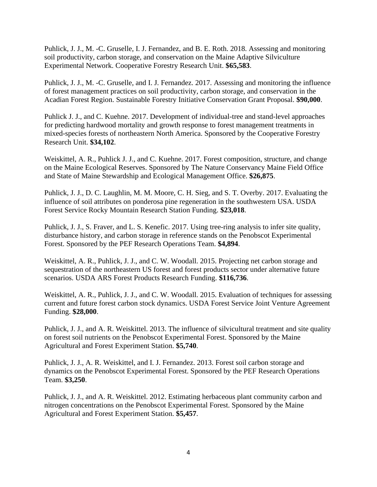Puhlick, J. J., M. -C. Gruselle, I. J. Fernandez, and B. E. Roth. 2018. Assessing and monitoring soil productivity, carbon storage, and conservation on the Maine Adaptive Silviculture Experimental Network. Cooperative Forestry Research Unit. **\$65,583**.

Puhlick, J. J., M. -C. Gruselle, and I. J. Fernandez. 2017. Assessing and monitoring the influence of forest management practices on soil productivity, carbon storage, and conservation in the Acadian Forest Region. Sustainable Forestry Initiative Conservation Grant Proposal. **\$90,000**.

Puhlick J. J., and C. Kuehne. 2017. Development of individual-tree and stand-level approaches for predicting hardwood mortality and growth response to forest management treatments in mixed-species forests of northeastern North America. Sponsored by the Cooperative Forestry Research Unit. **\$34,102**.

Weiskittel, A. R., Puhlick J. J., and C. Kuehne. 2017. Forest composition, structure, and change on the Maine Ecological Reserves. Sponsored by The Nature Conservancy Maine Field Office and State of Maine Stewardship and Ecological Management Office. **\$26,875**.

Puhlick, J. J., D. C. Laughlin, M. M. Moore, C. H. Sieg, and S. T. Overby. 2017. Evaluating the influence of soil attributes on ponderosa pine regeneration in the southwestern USA. USDA Forest Service Rocky Mountain Research Station Funding. **\$23,018**.

Puhlick, J. J., S. Fraver, and L. S. Kenefic. 2017. Using tree-ring analysis to infer site quality, disturbance history, and carbon storage in reference stands on the Penobscot Experimental Forest. Sponsored by the PEF Research Operations Team. **\$4,894**.

Weiskittel, A. R., Puhlick, J. J., and C. W. Woodall. 2015. Projecting net carbon storage and sequestration of the northeastern US forest and forest products sector under alternative future scenarios. USDA ARS Forest Products Research Funding. **\$116,736**.

Weiskittel, A. R., Puhlick, J. J., and C. W. Woodall. 2015. Evaluation of techniques for assessing current and future forest carbon stock dynamics. USDA Forest Service Joint Venture Agreement Funding. **\$28,000**.

Puhlick, J. J., and A. R. Weiskittel. 2013. The influence of silvicultural treatment and site quality on forest soil nutrients on the Penobscot Experimental Forest. Sponsored by the Maine Agricultural and Forest Experiment Station. **\$5,740**.

Puhlick, J. J., A. R. Weiskittel, and I. J. Fernandez. 2013. Forest soil carbon storage and dynamics on the Penobscot Experimental Forest. Sponsored by the PEF Research Operations Team. **\$3,250**.

Puhlick, J. J., and A. R. Weiskittel. 2012. Estimating herbaceous plant community carbon and nitrogen concentrations on the Penobscot Experimental Forest. Sponsored by the Maine Agricultural and Forest Experiment Station. **\$5,457**.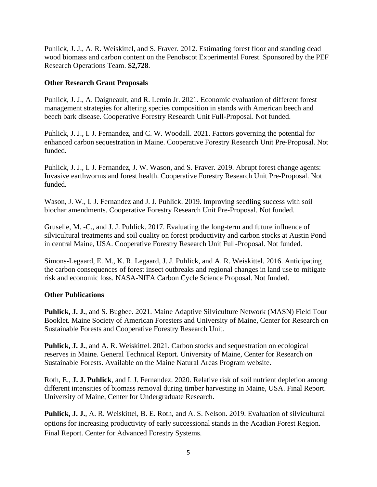Puhlick, J. J., A. R. Weiskittel, and S. Fraver. 2012. Estimating forest floor and standing dead wood biomass and carbon content on the Penobscot Experimental Forest. Sponsored by the PEF Research Operations Team. **\$2,728**.

## **Other Research Grant Proposals**

Puhlick, J. J., A. Daigneault, and R. Lemin Jr. 2021. Economic evaluation of different forest management strategies for altering species composition in stands with American beech and beech bark disease. Cooperative Forestry Research Unit Full-Proposal. Not funded.

Puhlick, J. J., I. J. Fernandez, and C. W. Woodall. 2021. Factors governing the potential for enhanced carbon sequestration in Maine. Cooperative Forestry Research Unit Pre-Proposal. Not funded.

Puhlick, J. J., I. J. Fernandez, J. W. Wason, and S. Fraver. 2019. Abrupt forest change agents: Invasive earthworms and forest health. Cooperative Forestry Research Unit Pre-Proposal. Not funded.

Wason, J. W., I. J. Fernandez and J. J. Puhlick. 2019. Improving seedling success with soil biochar amendments. Cooperative Forestry Research Unit Pre-Proposal. Not funded.

Gruselle, M. -C., and J. J. Puhlick. 2017. Evaluating the long-term and future influence of silvicultural treatments and soil quality on forest productivity and carbon stocks at Austin Pond in central Maine, USA. Cooperative Forestry Research Unit Full-Proposal. Not funded.

Simons-Legaard, E. M., K. R. Legaard, J. J. Puhlick, and A. R. Weiskittel. 2016. Anticipating the carbon consequences of forest insect outbreaks and regional changes in land use to mitigate risk and economic loss. NASA-NIFA Carbon Cycle Science Proposal. Not funded.

#### **Other Publications**

**Puhlick, J. J.**, and S. Bugbee. 2021. Maine Adaptive Silviculture Network (MASN) Field Tour Booklet. Maine Society of American Foresters and University of Maine, Center for Research on Sustainable Forests and Cooperative Forestry Research Unit.

**Puhlick, J. J.**, and A. R. Weiskittel. 2021. Carbon stocks and sequestration on ecological reserves in Maine. General Technical Report. University of Maine, Center for Research on Sustainable Forests. Available on the Maine Natural Areas Program website.

Roth, E., **J. J. Puhlick**, and I. J. Fernandez. 2020. Relative risk of soil nutrient depletion among different intensities of biomass removal during timber harvesting in Maine, USA. Final Report. University of Maine, Center for Undergraduate Research.

**Puhlick, J. J.**, A. R. Weiskittel, B. E. Roth, and A. S. Nelson. 2019. Evaluation of silvicultural options for increasing productivity of early successional stands in the Acadian Forest Region. Final Report. Center for Advanced Forestry Systems.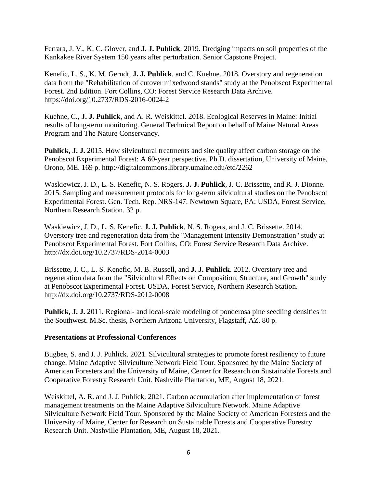Ferrara, J. V., K. C. Glover, and **J. J. Puhlick**. 2019. Dredging impacts on soil properties of the Kankakee River System 150 years after perturbation. Senior Capstone Project.

Kenefic, L. S., K. M. Gerndt, **J. J. Puhlick**, and C. Kuehne. 2018*.* Overstory and regeneration data from the "Rehabilitation of cutover mixedwood stands" study at the Penobscot Experimental Forest. 2nd Edition. Fort Collins, CO: Forest Service Research Data Archive. https://doi.org/10.2737/RDS-2016-0024-2

Kuehne, C., **J. J. Puhlick**, and A. R. Weiskittel. 2018. Ecological Reserves in Maine: Initial results of long-term monitoring. General Technical Report on behalf of Maine Natural Areas Program and The Nature Conservancy.

**Puhlick, J. J.** 2015. How silvicultural treatments and site quality affect carbon storage on the Penobscot Experimental Forest: A 60-year perspective. Ph.D. dissertation, University of Maine, Orono, ME. 169 p. http://digitalcommons.library.umaine.edu/etd/2262

Waskiewicz, J. D., L. S. Kenefic, N. S. Rogers, **J. J. Puhlick**, J. C. Brissette, and R. J. Dionne. 2015. Sampling and measurement protocols for long-term silvicultural studies on the Penobscot Experimental Forest. Gen. Tech. Rep. NRS-147. Newtown Square, PA: USDA, Forest Service, Northern Research Station. 32 p.

Waskiewicz, J. D., L. S. Kenefic, **J. J. Puhlick**, N. S. Rogers, and J. C. Brissette. 2014*.*  Overstory tree and regeneration data from the "Management Intensity Demonstration" study at Penobscot Experimental Forest. Fort Collins, CO: Forest Service Research Data Archive. http://dx.doi.org/10.2737/RDS-2014-0003

Brissette, J. C., L. S. Kenefic, M. B. Russell, and **J. J. Puhlick**. 2012. Overstory tree and regeneration data from the "Silvicultural Effects on Composition, Structure, and Growth" study at Penobscot Experimental Forest. USDA, Forest Service, Northern Research Station. http://dx.doi.org/10.2737/RDS-2012-0008

**Puhlick, J. J.** 2011. Regional- and local-scale modeling of ponderosa pine seedling densities in the Southwest. M.Sc. thesis, Northern Arizona University, Flagstaff, AZ. 80 p.

#### **Presentations at Professional Conferences**

Bugbee, S. and J. J. Puhlick. 2021. Silvicultural strategies to promote forest resiliency to future change. Maine Adaptive Silviculture Network Field Tour. Sponsored by the Maine Society of American Foresters and the University of Maine, Center for Research on Sustainable Forests and Cooperative Forestry Research Unit. Nashville Plantation, ME, August 18, 2021.

Weiskittel, A. R. and J. J. Puhlick. 2021. Carbon accumulation after implementation of forest management treatments on the Maine Adaptive Silviculture Network. Maine Adaptive Silviculture Network Field Tour. Sponsored by the Maine Society of American Foresters and the University of Maine, Center for Research on Sustainable Forests and Cooperative Forestry Research Unit. Nashville Plantation, ME, August 18, 2021.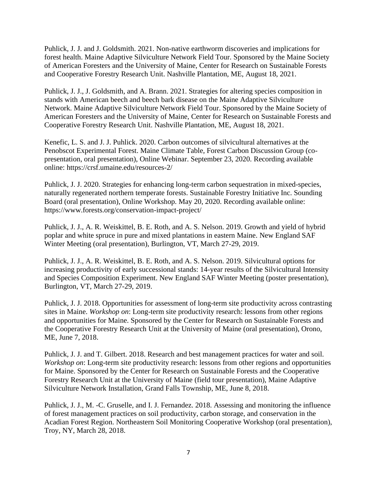Puhlick, J. J. and J. Goldsmith. 2021. Non-native earthworm discoveries and implications for forest health. Maine Adaptive Silviculture Network Field Tour. Sponsored by the Maine Society of American Foresters and the University of Maine, Center for Research on Sustainable Forests and Cooperative Forestry Research Unit. Nashville Plantation, ME, August 18, 2021.

Puhlick, J. J., J. Goldsmith, and A. Brann. 2021. Strategies for altering species composition in stands with American beech and beech bark disease on the Maine Adaptive Silviculture Network. Maine Adaptive Silviculture Network Field Tour. Sponsored by the Maine Society of American Foresters and the University of Maine, Center for Research on Sustainable Forests and Cooperative Forestry Research Unit. Nashville Plantation, ME, August 18, 2021.

Kenefic, L. S. and J. J. Puhlick. 2020. Carbon outcomes of silvicultural alternatives at the Penobscot Experimental Forest. Maine Climate Table, Forest Carbon Discussion Group (copresentation, oral presentation), Online Webinar. September 23, 2020. Recording available online: https://crsf.umaine.edu/resources-2/

Puhlick, J. J. 2020. Strategies for enhancing long-term carbon sequestration in mixed-species, naturally regenerated northern temperate forests. Sustainable Forestry Initiative Inc. Sounding Board (oral presentation), Online Workshop. May 20, 2020. Recording available online: https://www.forests.org/conservation-impact-project/

Puhlick, J. J., A. R. Weiskittel, B. E. Roth, and A. S. Nelson. 2019. Growth and yield of hybrid poplar and white spruce in pure and mixed plantations in eastern Maine. New England SAF Winter Meeting (oral presentation), Burlington, VT, March 27-29, 2019.

Puhlick, J. J., A. R. Weiskittel, B. E. Roth, and A. S. Nelson. 2019. Silvicultural options for increasing productivity of early successional stands: 14-year results of the Silvicultural Intensity and Species Composition Experiment. New England SAF Winter Meeting (poster presentation), Burlington, VT, March 27-29, 2019.

Puhlick, J. J. 2018. Opportunities for assessment of long-term site productivity across contrasting sites in Maine. *Workshop on*: Long-term site productivity research: lessons from other regions and opportunities for Maine. Sponsored by the Center for Research on Sustainable Forests and the Cooperative Forestry Research Unit at the University of Maine (oral presentation), Orono, ME, June 7, 2018.

Puhlick, J. J. and T. Gilbert. 2018. Research and best management practices for water and soil. *Workshop on*: Long-term site productivity research: lessons from other regions and opportunities for Maine. Sponsored by the Center for Research on Sustainable Forests and the Cooperative Forestry Research Unit at the University of Maine (field tour presentation), Maine Adaptive Silviculture Network Installation, Grand Falls Township, ME, June 8, 2018.

Puhlick, J. J., M. -C. Gruselle, and I. J. Fernandez. 2018. Assessing and monitoring the influence of forest management practices on soil productivity, carbon storage, and conservation in the Acadian Forest Region. Northeastern Soil Monitoring Cooperative Workshop (oral presentation), Troy, NY, March 28, 2018.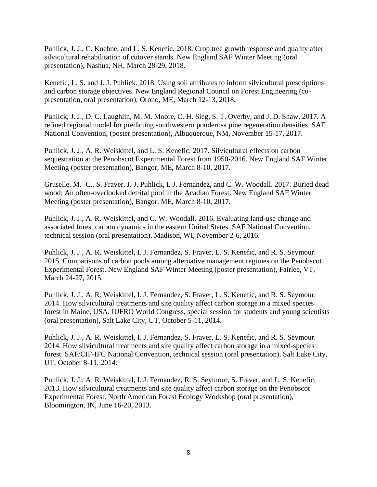Puhlick, J. J., C. Kuehne, and L. S. Kenefic. 2018. Crop tree growth response and quality after silvicultural rehabilitation of cutover stands. New England SAF Winter Meeting (oral presentation), Nashua, NH, March 28-29, 2018.

Kenefic, L. S. and J. J. Puhlick. 2018. Using soil attributes to inform silvicultural prescriptions and carbon storage objectives. New England Regional Council on Forest Engineering (copresentation, oral presentation), Orono, ME, March 12-13, 2018.

Puhlick, J. J., D. C. Laughlin, M. M. Moore, C. H. Sieg, S. T. Overby, and J. D. Shaw. 2017. A refined regional model for predicting southwestern ponderosa pine regeneration densities. SAF National Convention, (poster presentation), Albuquerque, NM, November 15-17, 2017.

Puhlick, J. J., A. R. Weiskittel, and L. S. Kenefic. 2017. Silvicultural effects on carbon sequestration at the Penobscot Experimental Forest from 1950-2016. New England SAF Winter Meeting (poster presentation), Bangor, ME, March 8-10, 2017.

Gruselle, M. -C., S. Fraver, J. J. Puhlick, I. J. Fernandez, and C. W. Woodall. 2017. Buried dead wood: An often-overlooked detrital pool in the Acadian Forest. New England SAF Winter Meeting (poster presentation), Bangor, ME, March 8-10, 2017.

Puhlick, J. J., A. R. Weiskittel, and C. W. Woodall. 2016. Evaluating land-use change and associated forest carbon dynamics in the eastern United States. SAF National Convention, technical session (oral presentation), Madison, WI, November 2-6, 2016.

Puhlick, J. J., A. R. Weiskittel, I. J. Fernandez, S. Fraver, L. S. Kenefic, and R. S. Seymour. 2015. Comparisons of carbon pools among alternative management regimes on the Penobscot Experimental Forest. New England SAF Winter Meeting (poster presentation), Fairlee, VT, March 24-27, 2015.

Puhlick, J. J., A. R. Weiskittel, I. J. Fernandez, S. Fraver, L. S. Kenefic, and R. S. Seymour. 2014. How silvicultural treatments and site quality affect carbon storage in a mixed species forest in Maine, USA. IUFRO World Congress, special session for students and young scientists (oral presentation), Salt Lake City, UT, October 5-11, 2014.

Puhlick, J. J., A. R. Weiskittel, I. J. Fernandez, S. Fraver, L. S. Kenefic, and R. S. Seymour. 2014. How silvicultural treatments and site quality affect carbon storage in a mixed-species forest. SAF/CIF-IFC National Convention, technical session (oral presentation), Salt Lake City, UT, October 8-11, 2014.

Puhlick, J. J., A. R. Weiskittel, I. J. Fernandez, R. S. Seymour, S. Fraver, and L. S. Kenefic. 2013. How silvicultural treatments and site quality affect carbon storage on the Penobscot Experimental Forest. North American Forest Ecology Workshop (oral presentation), Bloomington, IN, June 16-20, 2013.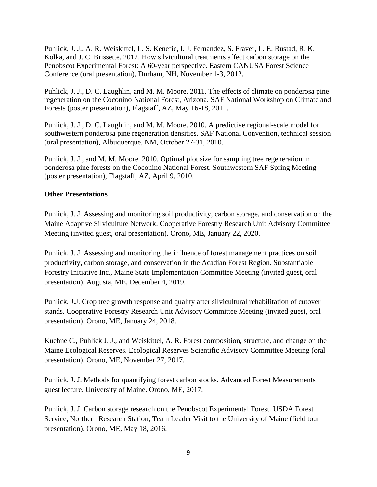Puhlick, J. J., A. R. Weiskittel, L. S. Kenefic, I. J. Fernandez, S. Fraver, L. E. Rustad, R. K. Kolka, and J. C. Brissette. 2012. How silvicultural treatments affect carbon storage on the Penobscot Experimental Forest: A 60-year perspective. Eastern CANUSA Forest Science Conference (oral presentation), Durham, NH, November 1-3, 2012.

Puhlick, J. J., D. C. Laughlin, and M. M. Moore. 2011. The effects of climate on ponderosa pine regeneration on the Coconino National Forest, Arizona. SAF National Workshop on Climate and Forests (poster presentation), Flagstaff, AZ, May 16-18, 2011.

Puhlick, J. J., D. C. Laughlin, and M. M. Moore. 2010. A predictive regional-scale model for southwestern ponderosa pine regeneration densities. SAF National Convention, technical session (oral presentation), Albuquerque, NM, October 27-31, 2010.

Puhlick, J. J., and M. M. Moore. 2010. Optimal plot size for sampling tree regeneration in ponderosa pine forests on the Coconino National Forest. Southwestern SAF Spring Meeting (poster presentation), Flagstaff, AZ, April 9, 2010.

### **Other Presentations**

Puhlick, J. J. Assessing and monitoring soil productivity, carbon storage, and conservation on the Maine Adaptive Silviculture Network. Cooperative Forestry Research Unit Advisory Committee Meeting (invited guest, oral presentation). Orono, ME, January 22, 2020.

Puhlick, J. J. Assessing and monitoring the influence of forest management practices on soil productivity, carbon storage, and conservation in the Acadian Forest Region. Substantiable Forestry Initiative Inc., Maine State Implementation Committee Meeting (invited guest, oral presentation). Augusta, ME, December 4, 2019.

Puhlick, J.J. Crop tree growth response and quality after silvicultural rehabilitation of cutover stands. Cooperative Forestry Research Unit Advisory Committee Meeting (invited guest, oral presentation). Orono, ME, January 24, 2018.

Kuehne C., Puhlick J. J., and Weiskittel, A. R. Forest composition, structure, and change on the Maine Ecological Reserves. Ecological Reserves Scientific Advisory Committee Meeting (oral presentation). Orono, ME, November 27, 2017.

Puhlick, J. J. Methods for quantifying forest carbon stocks. Advanced Forest Measurements guest lecture. University of Maine. Orono, ME, 2017.

Puhlick, J. J. Carbon storage research on the Penobscot Experimental Forest. USDA Forest Service, Northern Research Station, Team Leader Visit to the University of Maine (field tour presentation). Orono, ME, May 18, 2016.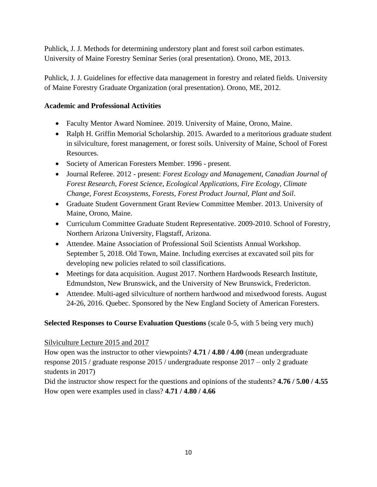Puhlick, J. J. Methods for determining understory plant and forest soil carbon estimates. University of Maine Forestry Seminar Series (oral presentation). Orono, ME, 2013.

Puhlick, J. J. Guidelines for effective data management in forestry and related fields. University of Maine Forestry Graduate Organization (oral presentation). Orono, ME, 2012.

# **Academic and Professional Activities**

- Faculty Mentor Award Nominee. 2019. University of Maine, Orono, Maine.
- Ralph H. Griffin Memorial Scholarship. 2015. Awarded to a meritorious graduate student in silviculture, forest management, or forest soils. University of Maine, School of Forest Resources.
- Society of American Foresters Member. 1996 present.
- Journal Referee. 2012 present: *Forest Ecology and Management, Canadian Journal of Forest Research, Forest Science, Ecological Applications, Fire Ecology, Climate Change, Forest Ecosystems, Forests, Forest Product Journal, Plant and Soil*.
- Graduate Student Government Grant Review Committee Member. 2013. University of Maine, Orono, Maine.
- Curriculum Committee Graduate Student Representative. 2009-2010. School of Forestry, Northern Arizona University, Flagstaff, Arizona.
- Attendee. Maine Association of Professional Soil Scientists Annual Workshop. September 5, 2018. Old Town, Maine. Including exercises at excavated soil pits for developing new policies related to soil classifications.
- Meetings for data acquisition. August 2017. Northern Hardwoods Research Institute, Edmundston, New Brunswick, and the University of New Brunswick, Fredericton.
- Attendee. Multi-aged silviculture of northern hardwood and mixedwood forests. August 24-26, 2016. Quebec. Sponsored by the New England Society of American Foresters.

# **Selected Responses to Course Evaluation Questions** (scale 0-5, with 5 being very much)

# Silviculture Lecture 2015 and 2017

How open was the instructor to other viewpoints? **4.71 / 4.80 / 4.00** (mean undergraduate response 2015 / graduate response 2015 / undergraduate response 2017 – only 2 graduate students in 2017)

Did the instructor show respect for the questions and opinions of the students? **4.76 / 5.00 / 4.55** How open were examples used in class? **4.71 / 4.80 / 4.66**